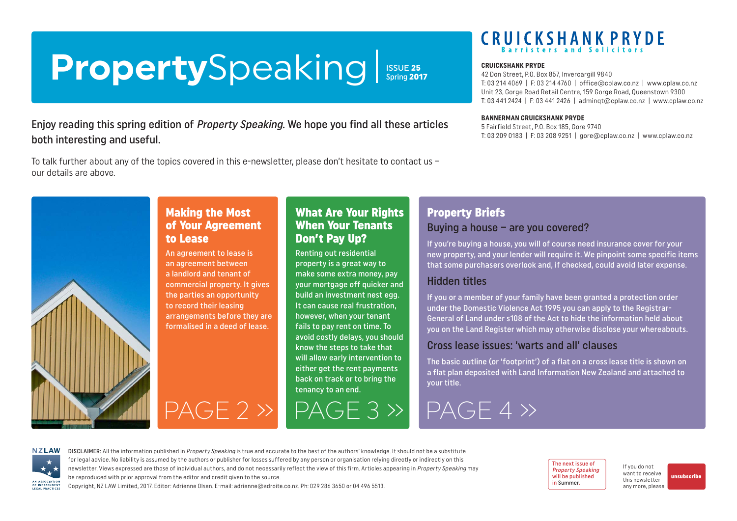# <span id="page-0-0"></span>PropertySpeaking | ISSUE 25

### Enjoy reading this spring edition of Property Speaking. We hope you find all these articles both interesting and useful.

To talk further about any of the topics covered in this e-newsletter, please don't hesitate to contact us – our details are above.

## **CRUICKSHANK PRYDE**

#### **CRUICKSHANK PRYDE**

42 Don Street, P.O. Box 857, Invercargill 9840 T: 03 214 4069 | F: 03 214 4760 | [office@cplaw.co.nz](mailto:office%40cplaw.co.nz?subject=) | www.cplaw.co.nz Unit 23, Gorge Road Retail Centre, 159 Gorge Road, Queenstown 9300 T: 03 441 2424 | F: 03 441 2426 | adminqt@cplaw.co.nz | www.cplaw.co.nz

#### **BANNERMAN CRUICKSHANK PRYDE**

5 Fairfield Street, P.O. Box 185, Gore 9740 T: 03 209 0183 | F: 03 208 9251 | gore@cplaw.co.nz | www.cplaw.co.nz



### Making the Most of Your Agreement to Lease

An agreement to lease is an agreement between a landlord and tenant of commercial property. It gives the parties an opportunity to record their leasing arrangements before they are formalised in a deed of lease.

### What Are Your Rights When Your Tenants Don't Pay Up?

Renting out residential property is a great way to make some extra money, pay your mortgage off quicker and build an investment nest egg. It can cause real frustration, however, when your tenant fails to pay rent on time. To avoid costly delays, you should know the steps to take that will allow early intervention to either get the rent payments back on track or to bring the tenancy to an end.

[PAGE 2 »](#page-1-0) [PAGE 3 »](#page-2-0) [PAGE 4 »](#page-3-0)

## Property Briefs

### Buying a house – are you covered?

If you're buying a house, you will of course need insurance cover for your new property, and your lender will require it. We pinpoint some specific items that some purchasers overlook and, if checked, could avoid later expense.

### Hidden titles

If you or a member of your family have been granted a protection order under the Domestic Violence Act 1995 you can apply to the Registrar-General of Land under s108 of the Act to hide the information held about you on the Land Register which may otherwise disclose your whereabouts.

### Cross lease issues: 'warts and all' clauses

The basic outline (or 'footprint') of a flat on a cross lease title is shown on a flat plan deposited with Land Information New Zealand and attached to your title.

**NZLAW** AN ASSOCIATION OF INDEPENDENT<br>LEGAL PRACTICES

DISCLAIMER: All the information published in Property Speaking is true and accurate to the best of the authors' knowledge. It should not be a substitute for legal advice. No liability is assumed by the authors or publisher for losses suffered by any person or organisation relying directly or indirectly on this newsletter. Views expressed are those of individual authors, and do not necessarily reflect the view of this firm. Articles appearing in Property Speaking may be reproduced with prior approval from the editor and credit given to the source.

Copyright, NZ LAW Limited, 2017. Editor: Adrienne Olsen. [E-mail: adrienne@adroite.co.nz.](mailto:adrienne@adroite.co.nz) Ph: 029 286 3650 or 04 496 5513.

The next issue of Property Speaking will be published in Summer.

If you do not want to receive this newsletter any more, please

[unsubscribe](mailto:adrienne%40adroite.co.nz?subject=Property%20Speaking%20-%20unsubscribe%20me%20please)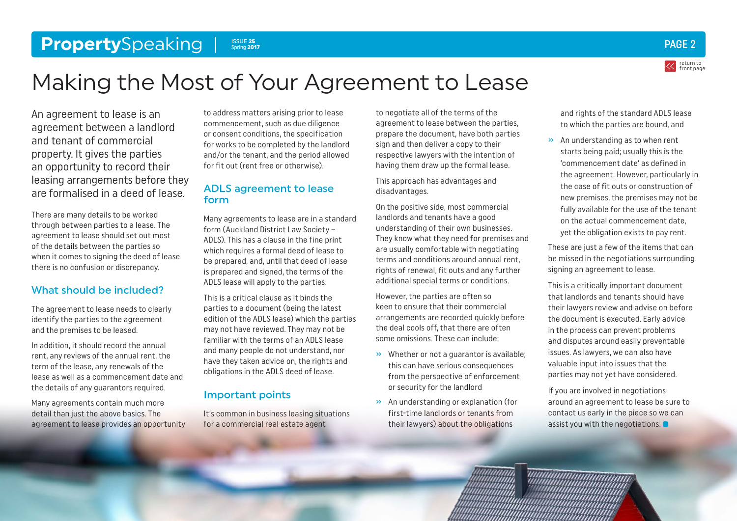### <span id="page-1-0"></span>**Property**Speaking P<sub>spring</sub> 2017 **Contract 25** 2 **ISSUE 25** ISSUE 25<br>Spring 2017



## Making the Most of Your Agreement to Lease

An agreement to lease is an agreement between a landlord and tenant of commercial property. It gives the parties an opportunity to record their leasing arrangements before they are formalised in a deed of lease.

There are many details to be worked through between parties to a lease. The agreement to lease should set out most of the details between the parties so when it comes to signing the deed of lease there is no confusion or discrepancy.

### What should be included?

The agreement to lease needs to clearly identify the parties to the agreement and the premises to be leased.

In addition, it should record the annual rent, any reviews of the annual rent, the term of the lease, any renewals of the lease as well as a commencement date and the details of any guarantors required.

Many agreements contain much more detail than just the above basics. The agreement to lease provides an opportunity

to address matters arising prior to lease commencement, such as due diligence or consent conditions, the specification for works to be completed by the landlord and/or the tenant, and the period allowed for fit out (rent free or otherwise).

### ADLS agreement to lease form

Many agreements to lease are in a standard form (Auckland District Law Society – ADLS). This has a clause in the fine print which requires a formal deed of lease to be prepared, and, until that deed of lease is prepared and signed, the terms of the ADLS lease will apply to the parties.

This is a critical clause as it binds the parties to a document (being the latest edition of the ADLS lease) which the parties may not have reviewed. They may not be familiar with the terms of an ADLS lease and many people do not understand, nor have they taken advice on, the rights and obligations in the ADLS deed of lease.

### Important points

It's common in business leasing situations for a commercial real estate agent

to negotiate all of the terms of the agreement to lease between the parties, prepare the document, have both parties sign and then deliver a copy to their respective lawyers with the intention of having them draw up the formal lease.

This approach has advantages and disadvantages.

On the positive side, most commercial landlords and tenants have a good understanding of their own businesses. They know what they need for premises and are usually comfortable with negotiating terms and conditions around annual rent, rights of renewal, fit outs and any further additional special terms or conditions.

However, the parties are often so keen to ensure that their commercial arrangements are recorded quickly before the deal cools off, that there are often some omissions. These can include:

- » Whether or not a guarantor is available; this can have serious consequences from the perspective of enforcement or security for the landlord
- » An understanding or explanation (for first-time landlords or tenants from their lawyers) about the obligations

and rights of the standard ADLS lease to which the parties are bound, and

» An understanding as to when rent starts being paid; usually this is the 'commencement date' as defined in the agreement. However, particularly in the case of fit outs or construction of new premises, the premises may not be fully available for the use of the tenant on the actual commencement date, yet the obligation exists to pay rent.

These are just a few of the items that can be missed in the negotiations surrounding signing an agreement to lease.

This is a critically important document that landlords and tenants should have their lawyers review and advise on before the document is executed. Early advice in the process can prevent problems and disputes around easily preventable issues. As lawyers, we can also have valuable input into issues that the parties may not yet have considered.

If you are involved in negotiations around an agreement to lease be sure to contact us early in the piece so we can assist you with the negotiations.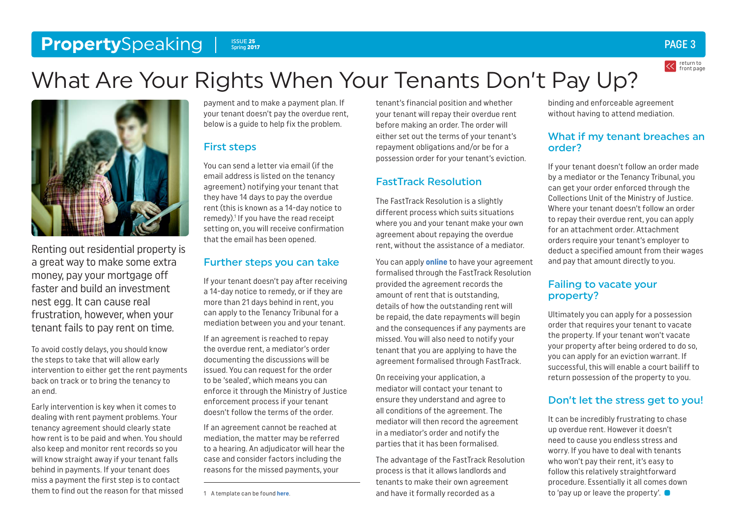#### <span id="page-2-0"></span>**Property**Speaking Issue 25 Spring 2017

## What Are Your Rights When Your Tenants Don't Pay Up?



Renting out residential property is a great way to make some extra money, pay your mortgage off faster and build an investment nest egg. It can cause real frustration, however, when your tenant fails to pay rent on time.

To avoid costly delays, you should know the steps to take that will allow early intervention to either get the rent payments back on track or to bring the tenancy to an end.

Early intervention is key when it comes to dealing with rent payment problems. Your tenancy agreement should clearly state how rent is to be paid and when. You should also keep and monitor rent records so you will know straight away if your tenant falls behind in payments. If your tenant does miss a payment the first step is to contact them to find out the reason for that missed

payment and to make a payment plan. If your tenant doesn't pay the overdue rent, below is a guide to help fix the problem.

### First steps

You can send a letter via email (if the email address is listed on the tenancy agreement) notifying your tenant that they have 14 days to pay the overdue rent (this is known as a 14-day notice to remedy).<sup>1</sup> If you have the read receipt setting on, you will receive confirmation that the email has been opened.

### Further steps you can take

If your tenant doesn't pay after receiving a 14-day notice to remedy, or if they are more than 21 days behind in rent, you can apply to the Tenancy Tribunal for a mediation between you and your tenant.

If an agreement is reached to repay the overdue rent, a mediator's order documenting the discussions will be issued. You can request for the order to be 'sealed', which means you can enforce it through the Ministry of Justice enforcement process if your tenant doesn't follow the terms of the order.

If an agreement cannot be reached at mediation, the matter may be referred to a hearing. An adjudicator will hear the case and consider factors including the reasons for the missed payments, your

tenant's financial position and whether your tenant will repay their overdue rent before making an order. The order will either set out the terms of your tenant's repayment obligations and/or be for a possession order for your tenant's eviction.

### FastTrack Resolution

The FastTrack Resolution is a slightly different process which suits situations where you and your tenant make your own agreement about repaying the overdue rent, without the assistance of a mediator.

You can apply **[online](https://www.tenancy.govt.nz/disputes/fasttrack-resolution/)** to have your agreement formalised through the FastTrack Resolution provided the agreement records the amount of rent that is outstanding, details of how the outstanding rent will be repaid, the date repayments will begin and the consequences if any payments are missed. You will also need to notify your tenant that you are applying to have the agreement formalised through FastTrack.

On receiving your application, a mediator will contact your tenant to ensure they understand and agree to all conditions of the agreement. The mediator will then record the agreement in a mediator's order and notify the parties that it has been formalised.

The advantage of the FastTrack Resolution process is that it allows landlords and tenants to make their own agreement and have it formally recorded as a

binding and enforceable agreement without having to attend mediation.

### What if my tenant breaches an order?

If your tenant doesn't follow an order made by a mediator or the Tenancy Tribunal, you can get your order enforced through the Collections Unit of the Ministry of Justice. Where your tenant doesn't follow an order to repay their overdue rent, you can apply for an attachment order. Attachment orders require your tenant's employer to deduct a specified amount from their wages and pay that amount directly to you.

### Failing to vacate your property?

Ultimately you can apply for a possession order that requires your tenant to vacate the property. If your tenant won't vacate your property after being ordered to do so, you can apply for an eviction warrant. If successful, this will enable a court bailiff to return possession of the property to you.

### Don't let the stress get to you!

It can be incredibly frustrating to chase up overdue rent. However it doesn't need to cause you endless stress and worry. If you have to deal with tenants who won't pay their rent, it's easy to follow this relatively straightforward procedure. Essentially it all comes down to 'pay up or leave the property'.

### PAGE 3

return to [front page](#page-0-0)

<sup>1</sup> A template can be found **[here](https://www.tenancy.govt.nz/maintenance-and-inspections/repairs-and-damages/)**.